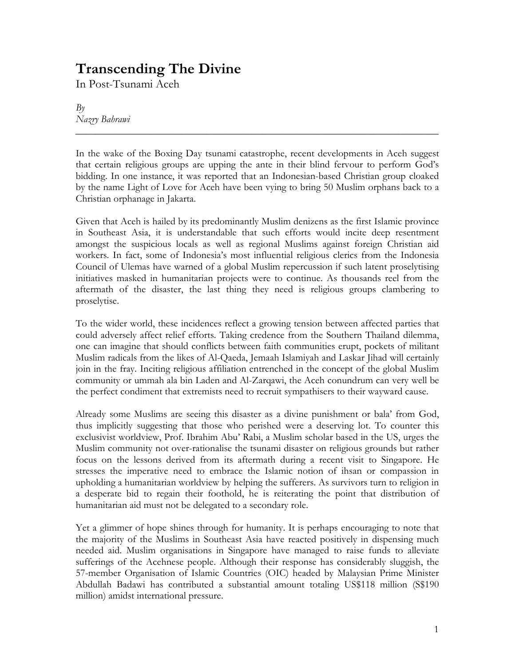## Transcending The Divine

In Post-Tsunami Aceh

 $Bv$ Nazry Bahrawi

In the wake of the Boxing Day tsunami catastrophe, recent developments in Aceh suggest that certain religious groups are upping the ante in their blind fervour to perform God's bidding. In one instance, it was reported that an Indonesian-based Christian group cloaked by the name Light of Love for Aceh have been vying to bring 50 Muslim orphans back to a Christian orphanage in Jakarta.

\_\_\_\_\_\_\_\_\_\_\_\_\_\_\_\_\_\_\_\_\_\_\_\_\_\_\_\_\_\_\_\_\_\_\_\_\_\_\_\_\_\_\_\_\_\_\_\_\_\_\_\_\_\_\_\_\_\_\_\_\_\_\_\_\_\_\_\_\_\_\_\_

Given that Aceh is hailed by its predominantly Muslim denizens as the first Islamic province in Southeast Asia, it is understandable that such efforts would incite deep resentment amongst the suspicious locals as well as regional Muslims against foreign Christian aid workers. In fact, some of Indonesia's most influential religious clerics from the Indonesia Council of Ulemas have warned of a global Muslim repercussion if such latent proselytising initiatives masked in humanitarian projects were to continue. As thousands reel from the aftermath of the disaster, the last thing they need is religious groups clambering to proselytise.

To the wider world, these incidences reflect a growing tension between affected parties that could adversely affect relief efforts. Taking credence from the Southern Thailand dilemma, one can imagine that should conflicts between faith communities erupt, pockets of militant Muslim radicals from the likes of Al-Qaeda, Jemaah Islamiyah and Laskar Jihad will certainly join in the fray. Inciting religious affiliation entrenched in the concept of the global Muslim community or ummah ala bin Laden and Al-Zarqawi, the Aceh conundrum can very well be the perfect condiment that extremists need to recruit sympathisers to their wayward cause.

Already some Muslims are seeing this disaster as a divine punishment or bala' from God, thus implicitly suggesting that those who perished were a deserving lot. To counter this exclusivist worldview, Prof. Ibrahim Abu' Rabi, a Muslim scholar based in the US, urges the Muslim community not over-rationalise the tsunami disaster on religious grounds but rather focus on the lessons derived from its aftermath during a recent visit to Singapore. He stresses the imperative need to embrace the Islamic notion of ihsan or compassion in upholding a humanitarian worldview by helping the sufferers. As survivors turn to religion in a desperate bid to regain their foothold, he is reiterating the point that distribution of humanitarian aid must not be delegated to a secondary role.

Yet a glimmer of hope shines through for humanity. It is perhaps encouraging to note that the majority of the Muslims in Southeast Asia have reacted positively in dispensing much needed aid. Muslim organisations in Singapore have managed to raise funds to alleviate sufferings of the Acehnese people. Although their response has considerably sluggish, the 57-member Organisation of Islamic Countries (OIC) headed by Malaysian Prime Minister Abdullah Badawi has contributed a substantial amount totaling US\$118 million (S\$190 million) amidst international pressure.